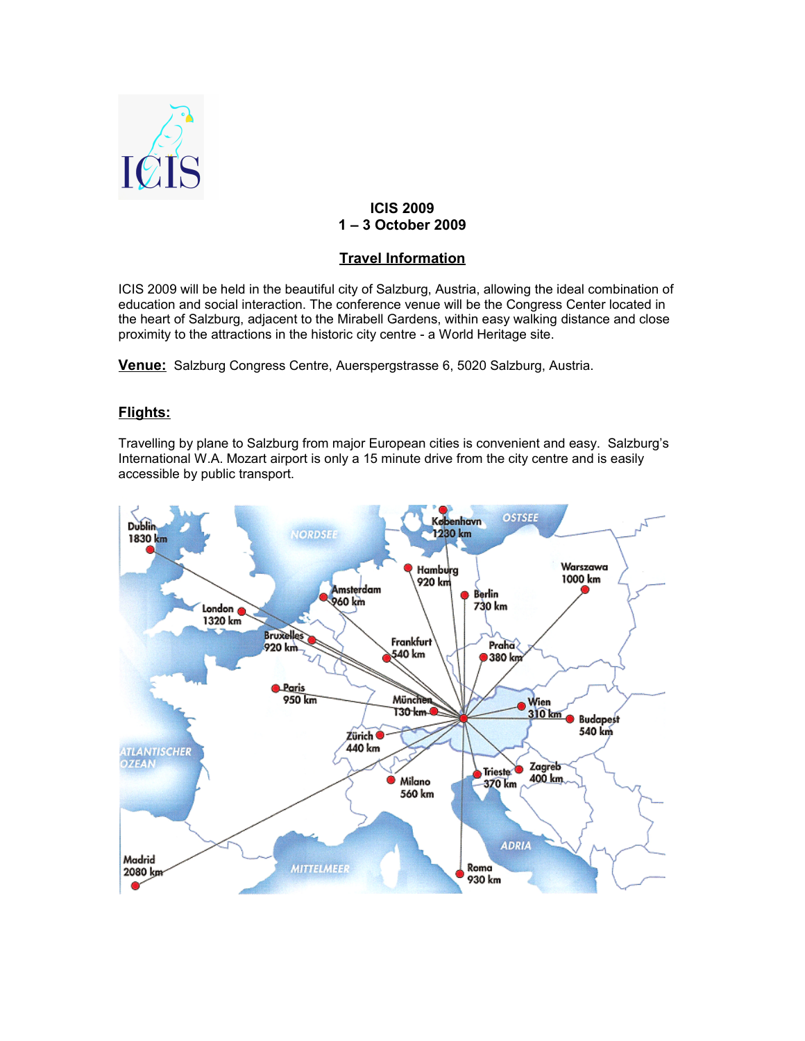

## **ICIS 2009 1 – 3 October 2009**

# **Travel Information**

ICIS 2009 will be held in the beautiful city of Salzburg, Austria, allowing the ideal combination of education and social interaction. The conference venue will be the Congress Center located in the heart of Salzburg, adjacent to the Mirabell Gardens, within easy walking distance and close proximity to the attractions in the historic city centre - a World Heritage site.

**Venue:** Salzburg Congress Centre, Auerspergstrasse 6, 5020 Salzburg, Austria.

### **Flights:**

Travelling by plane to Salzburg from major European cities is convenient and easy. Salzburg's International W.A. Mozart airport is only a 15 minute drive from the city centre and is easily accessible by public transport.